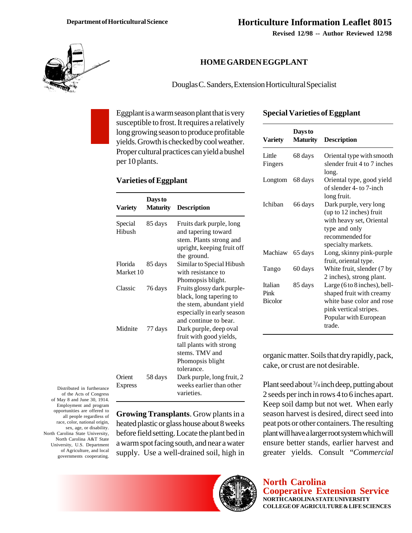**Revised 12/98 -- Author Reviewed 12/98**



## **HOME GARDEN EGGPLANT**

Douglas C. Sanders, Extension Horticultural Specialist

Eggplant is a warm season plant that is very susceptible to frost. It requires a relatively long growing season to produce profitable yields. Growth is checked by cool weather. Proper cultural practices can yield a bushel per 10 plants.

## **Varieties of Eggplant**

| Variety              | <b>Days to</b><br><b>Maturity</b> | <b>Description</b>                                                                                                                       |
|----------------------|-----------------------------------|------------------------------------------------------------------------------------------------------------------------------------------|
| Special<br>Hibush    | 85 days                           | Fruits dark purple, long<br>and tapering toward<br>stem. Plants strong and<br>upright, keeping fruit off<br>the ground.                  |
| Florida<br>Market 10 | 85 days                           | Similar to Special Hibush<br>with resistance to<br>Phomopsis blight.                                                                     |
| Classic              | 76 days                           | Fruits glossy dark purple-<br>black, long tapering to<br>the stem, abundant yield<br>especially in early season<br>and continue to bear. |
| Midnite              | 77 days                           | Dark purple, deep oval<br>fruit with good yields,<br>tall plants with strong<br>stems. TMV and<br>Phomopsis blight<br>tolerance.         |
| Orient<br>Express    | 58 days                           | Dark purple, long fruit, 2<br>weeks earlier than other<br>varieties.                                                                     |

Distributed in furtherance of the Acts of Congress of May 8 and June 30, 1914. Employment and program opportunities are offered to all people regardless of race, color, national origin, sex, age, or disability. North Carolina State University, North Carolina A&T State University, U.S. Department of Agriculture, and local governments cooperating.

**Growing Transplants**. Grow plants in a heated plastic or glass house about 8 weeks before field setting. Locate the plant bed in a warm spot facing south, and near a water supply. Use a well-drained soil, high in



## **Special Varieties of Eggplant**

| Variety                    | Days to<br><b>Maturity</b> | <b>Description</b>                                                                                                                                    |
|----------------------------|----------------------------|-------------------------------------------------------------------------------------------------------------------------------------------------------|
| Little<br>Fingers          | 68 days                    | Oriental type with smooth<br>slender fruit 4 to 7 inches<br>long.                                                                                     |
| Longtom                    | 68 days                    | Oriental type, good yield<br>of slender 4- to 7-inch<br>long fruit.                                                                                   |
| Ichiban                    | 66 days                    | Dark purple, very long<br>(up to 12 inches) fruit<br>with heavy set, Oriental<br>type and only<br>recommended for<br>specialty markets.               |
| Machiaw                    | 65 days                    | Long, skinny pink-purple<br>fruit, oriental type.                                                                                                     |
| Tango                      | 60 days                    | White fruit, slender (7 by<br>2 inches), strong plant.                                                                                                |
| Italian<br>Pink<br>Bicolor | 85 days                    | Large $(6 to 8 inches)$ , bell-<br>shaped fruit with creamy<br>white base color and rose<br>pink vertical stripes.<br>Popular with European<br>trade. |

organic matter. Soils that dry rapidly, pack, cake, or crust are not desirable.

Plant seed about <sup>3</sup>/<sub>4</sub> inch deep, putting about 2 seeds per inch in rows 4 to 6 inches apart. Keep soil damp but not wet. When early season harvest is desired, direct seed into peat pots or other containers. The resulting plant will have a larger root system which will ensure better stands, earlier harvest and greater yields. Consult "*Commercial*

**North Carolina Cooperative Extension Service NORTH CAROLINA STATE UNIVERSITY COLLEGE OF AGRICULTURE & LIFE SCIENCES**